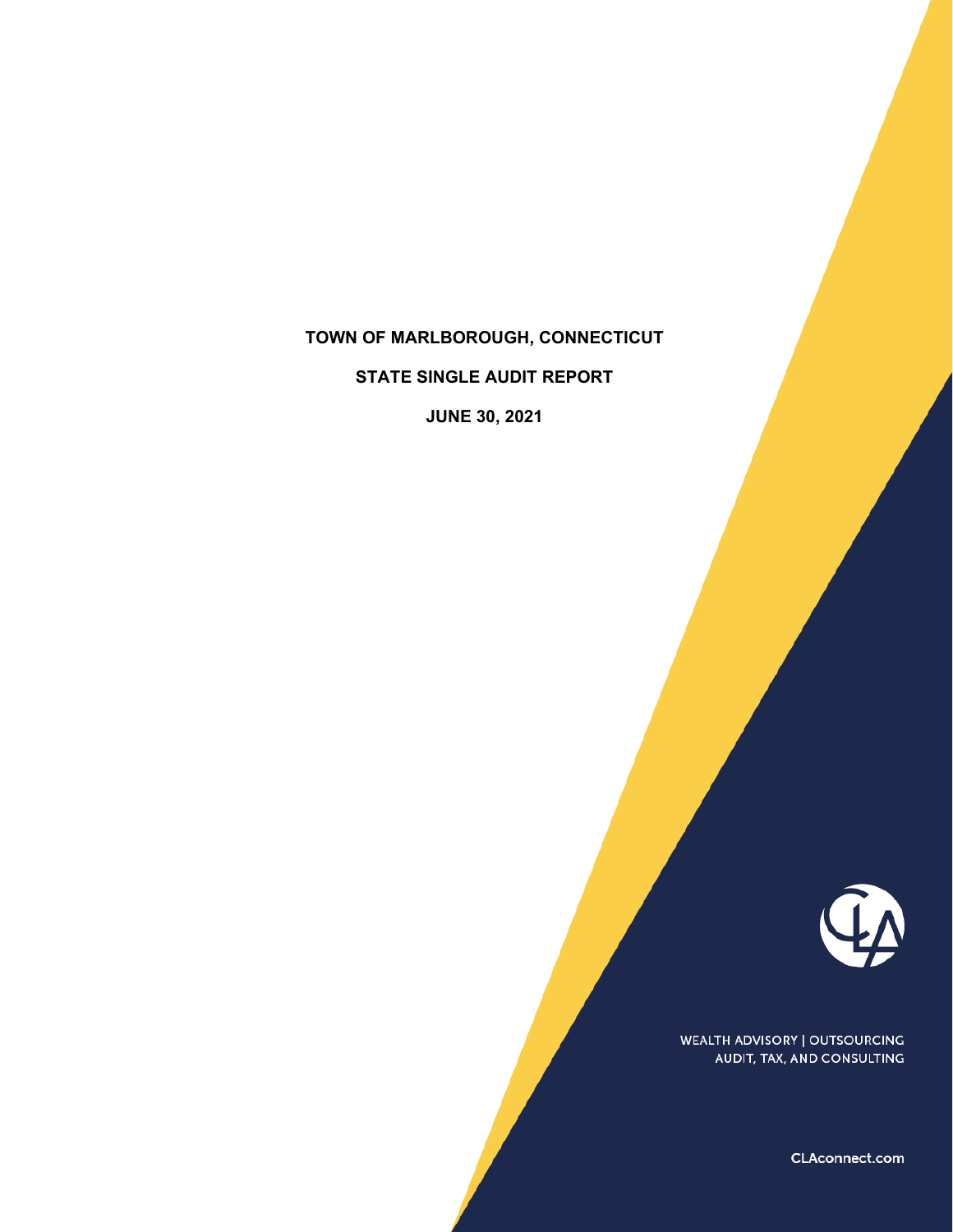# **TOWN OF MARLBOROUGH, CONNECTICUT**

**STATE SINGLE AUDIT REPORT** 

**JUNE 30, 2021** 



WEALTH ADVISORY | OUTSOURCING AUDIT, TAX, AND CONSULTING

CLAconnect.com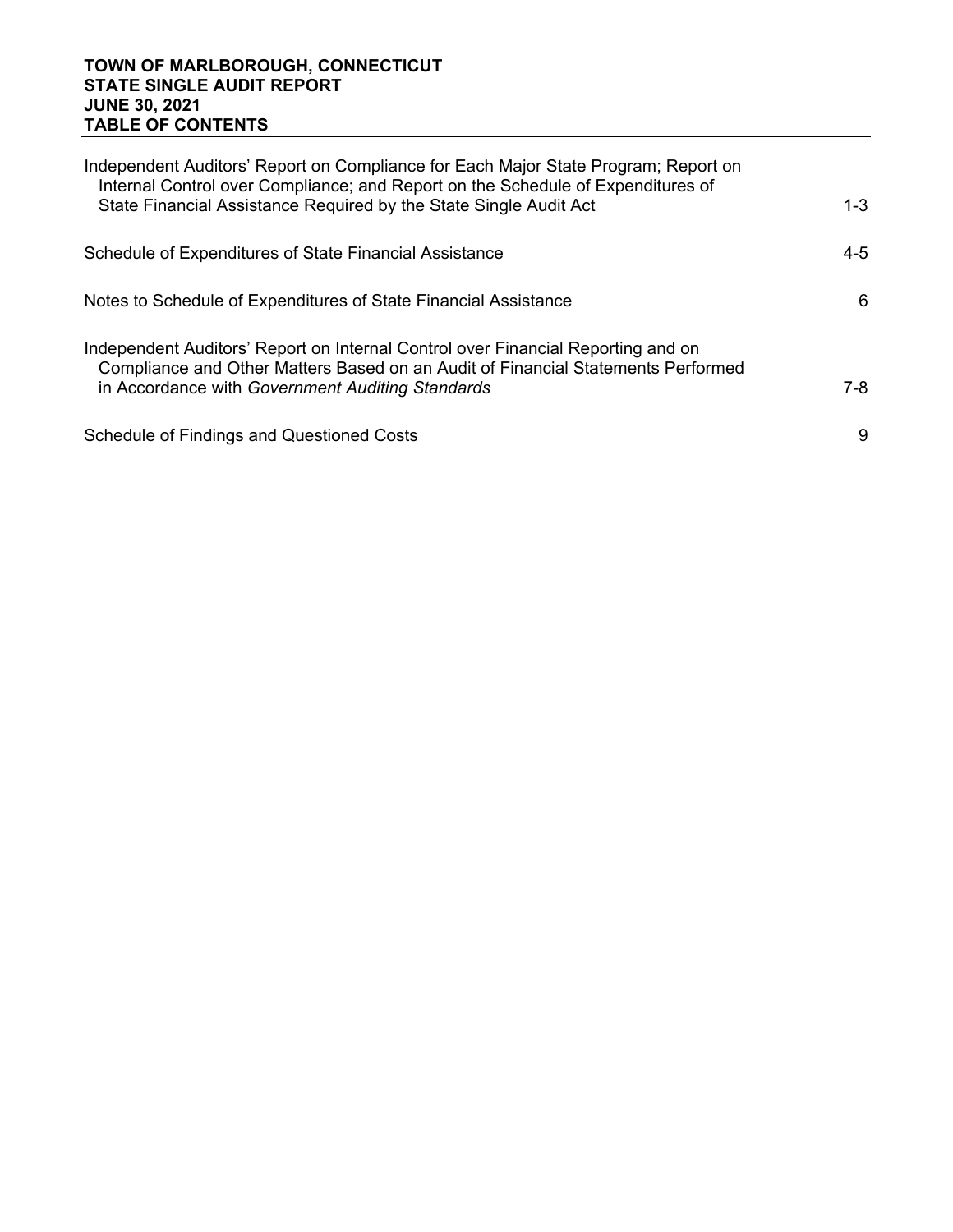#### **TOWN OF MARLBOROUGH, CONNECTICUT STATE SINGLE AUDIT REPORT JUNE 30, 2021 TABLE OF CONTENTS**

| Independent Auditors' Report on Compliance for Each Major State Program; Report on<br>Internal Control over Compliance; and Report on the Schedule of Expenditures of<br>State Financial Assistance Required by the State Single Audit Act | $1 - 3$ |
|--------------------------------------------------------------------------------------------------------------------------------------------------------------------------------------------------------------------------------------------|---------|
| Schedule of Expenditures of State Financial Assistance                                                                                                                                                                                     | $4 - 5$ |
| Notes to Schedule of Expenditures of State Financial Assistance                                                                                                                                                                            | 6       |
| Independent Auditors' Report on Internal Control over Financial Reporting and on<br>Compliance and Other Matters Based on an Audit of Financial Statements Performed<br>in Accordance with Government Auditing Standards                   | $7-8$   |
| <b>Schedule of Findings and Questioned Costs</b>                                                                                                                                                                                           | 9       |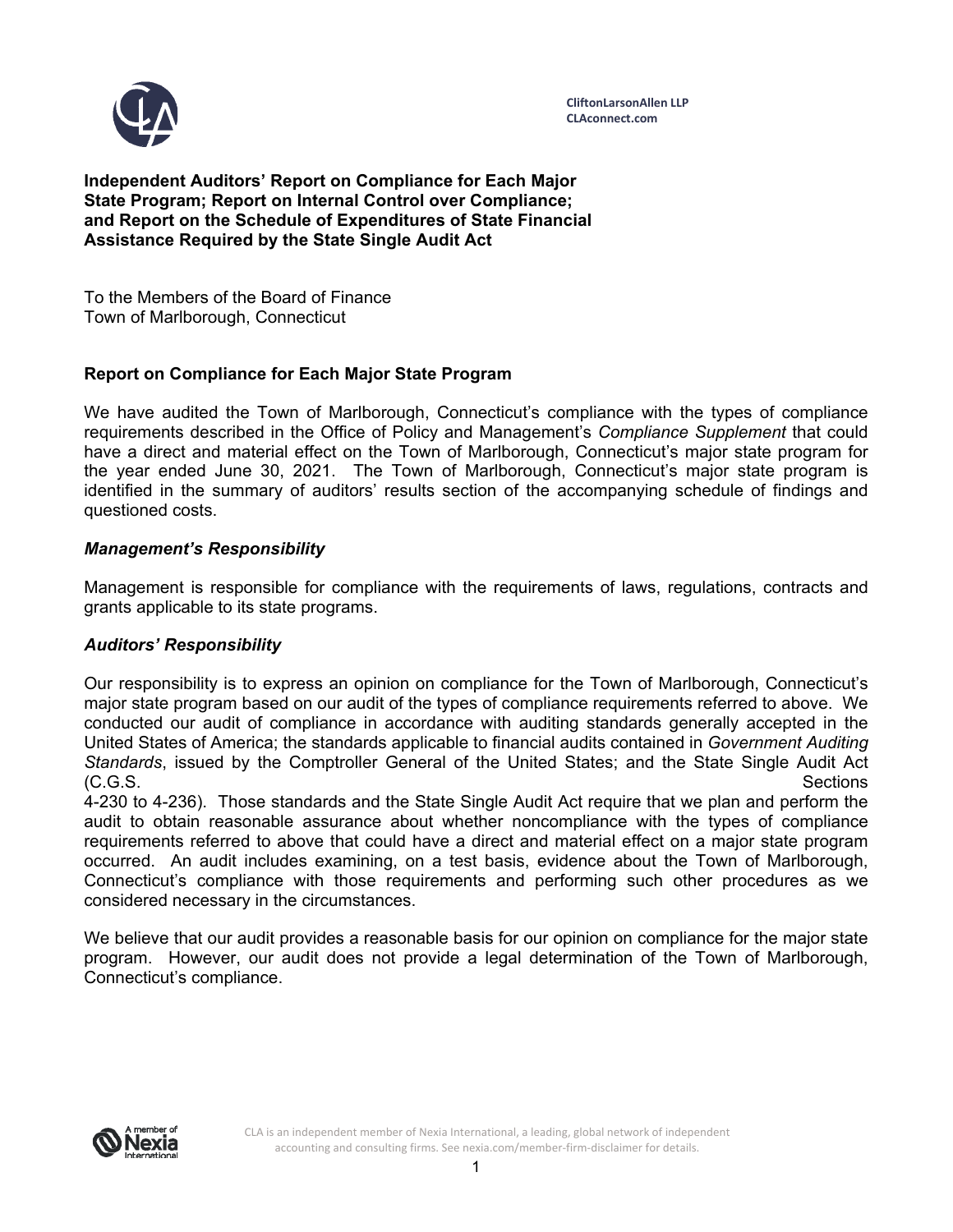

#### **Independent Auditors' Report on Compliance for Each Major State Program; Report on Internal Control over Compliance; and Report on the Schedule of Expenditures of State Financial Assistance Required by the State Single Audit Act**

To the Members of the Board of Finance Town of Marlborough, Connecticut

### **Report on Compliance for Each Major State Program**

We have audited the Town of Marlborough, Connecticut's compliance with the types of compliance requirements described in the Office of Policy and Management's *Compliance Supplement* that could have a direct and material effect on the Town of Marlborough, Connecticut's major state program for the year ended June 30, 2021. The Town of Marlborough, Connecticut's major state program is identified in the summary of auditors' results section of the accompanying schedule of findings and questioned costs.

#### *Management's Responsibility*

Management is responsible for compliance with the requirements of laws, regulations, contracts and grants applicable to its state programs.

#### *Auditors' Responsibility*

Our responsibility is to express an opinion on compliance for the Town of Marlborough, Connecticut's major state program based on our audit of the types of compliance requirements referred to above. We conducted our audit of compliance in accordance with auditing standards generally accepted in the United States of America; the standards applicable to financial audits contained in *Government Auditing Standards*, issued by the Comptroller General of the United States; and the State Single Audit Act (C.G.S. Sections

4-230 to 4-236). Those standards and the State Single Audit Act require that we plan and perform the audit to obtain reasonable assurance about whether noncompliance with the types of compliance requirements referred to above that could have a direct and material effect on a major state program occurred. An audit includes examining, on a test basis, evidence about the Town of Marlborough, Connecticut's compliance with those requirements and performing such other procedures as we considered necessary in the circumstances.

We believe that our audit provides a reasonable basis for our opinion on compliance for the major state program. However, our audit does not provide a legal determination of the Town of Marlborough, Connecticut's compliance.

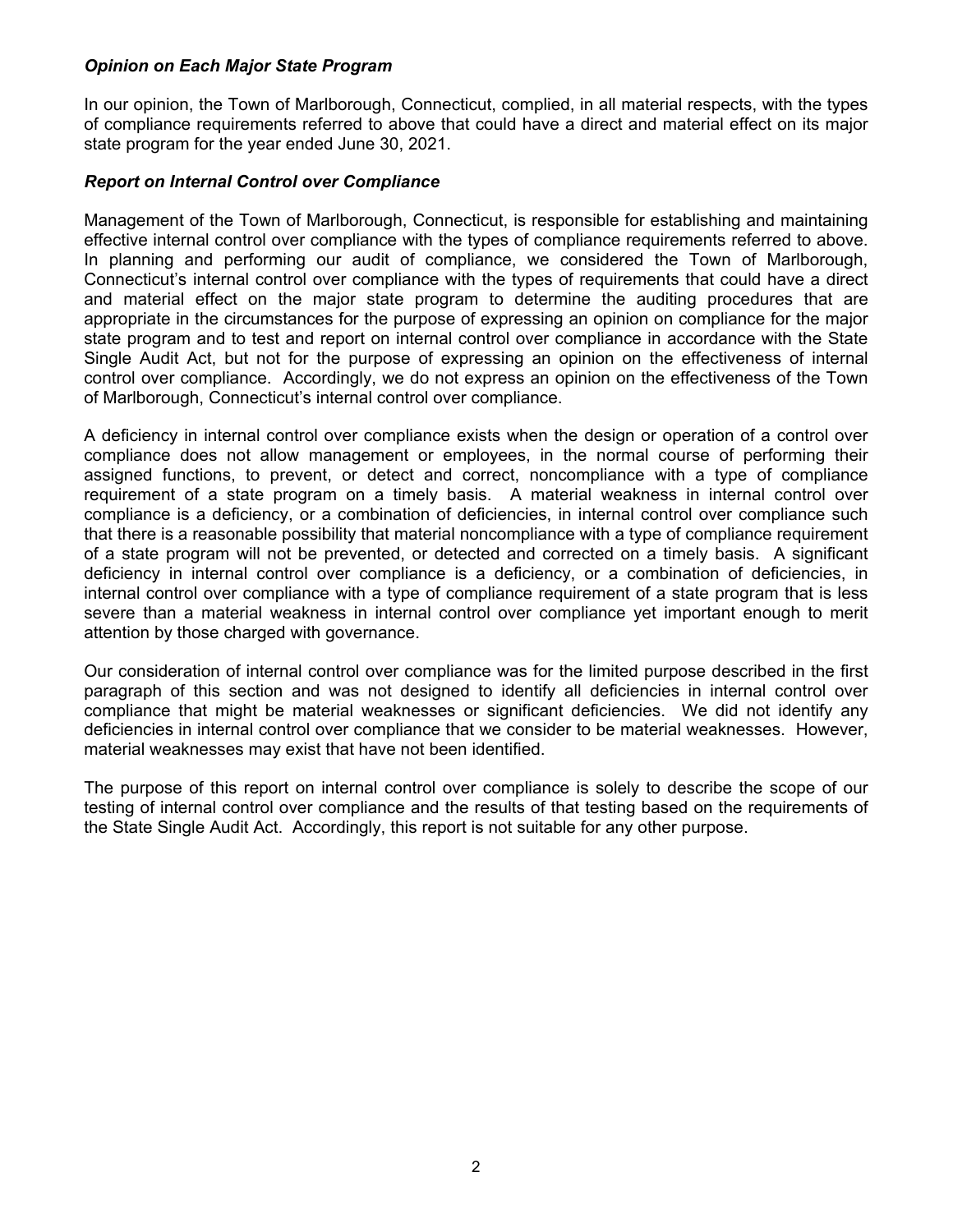#### *Opinion on Each Major State Program*

In our opinion, the Town of Marlborough, Connecticut, complied, in all material respects, with the types of compliance requirements referred to above that could have a direct and material effect on its major state program for the year ended June 30, 2021.

#### *Report on Internal Control over Compliance*

Management of the Town of Marlborough, Connecticut, is responsible for establishing and maintaining effective internal control over compliance with the types of compliance requirements referred to above. In planning and performing our audit of compliance, we considered the Town of Marlborough, Connecticut's internal control over compliance with the types of requirements that could have a direct and material effect on the major state program to determine the auditing procedures that are appropriate in the circumstances for the purpose of expressing an opinion on compliance for the major state program and to test and report on internal control over compliance in accordance with the State Single Audit Act, but not for the purpose of expressing an opinion on the effectiveness of internal control over compliance. Accordingly, we do not express an opinion on the effectiveness of the Town of Marlborough, Connecticut's internal control over compliance.

A deficiency in internal control over compliance exists when the design or operation of a control over compliance does not allow management or employees, in the normal course of performing their assigned functions, to prevent, or detect and correct, noncompliance with a type of compliance requirement of a state program on a timely basis. A material weakness in internal control over compliance is a deficiency, or a combination of deficiencies, in internal control over compliance such that there is a reasonable possibility that material noncompliance with a type of compliance requirement of a state program will not be prevented, or detected and corrected on a timely basis. A significant deficiency in internal control over compliance is a deficiency, or a combination of deficiencies, in internal control over compliance with a type of compliance requirement of a state program that is less severe than a material weakness in internal control over compliance yet important enough to merit attention by those charged with governance.

Our consideration of internal control over compliance was for the limited purpose described in the first paragraph of this section and was not designed to identify all deficiencies in internal control over compliance that might be material weaknesses or significant deficiencies. We did not identify any deficiencies in internal control over compliance that we consider to be material weaknesses. However, material weaknesses may exist that have not been identified.

The purpose of this report on internal control over compliance is solely to describe the scope of our testing of internal control over compliance and the results of that testing based on the requirements of the State Single Audit Act. Accordingly, this report is not suitable for any other purpose.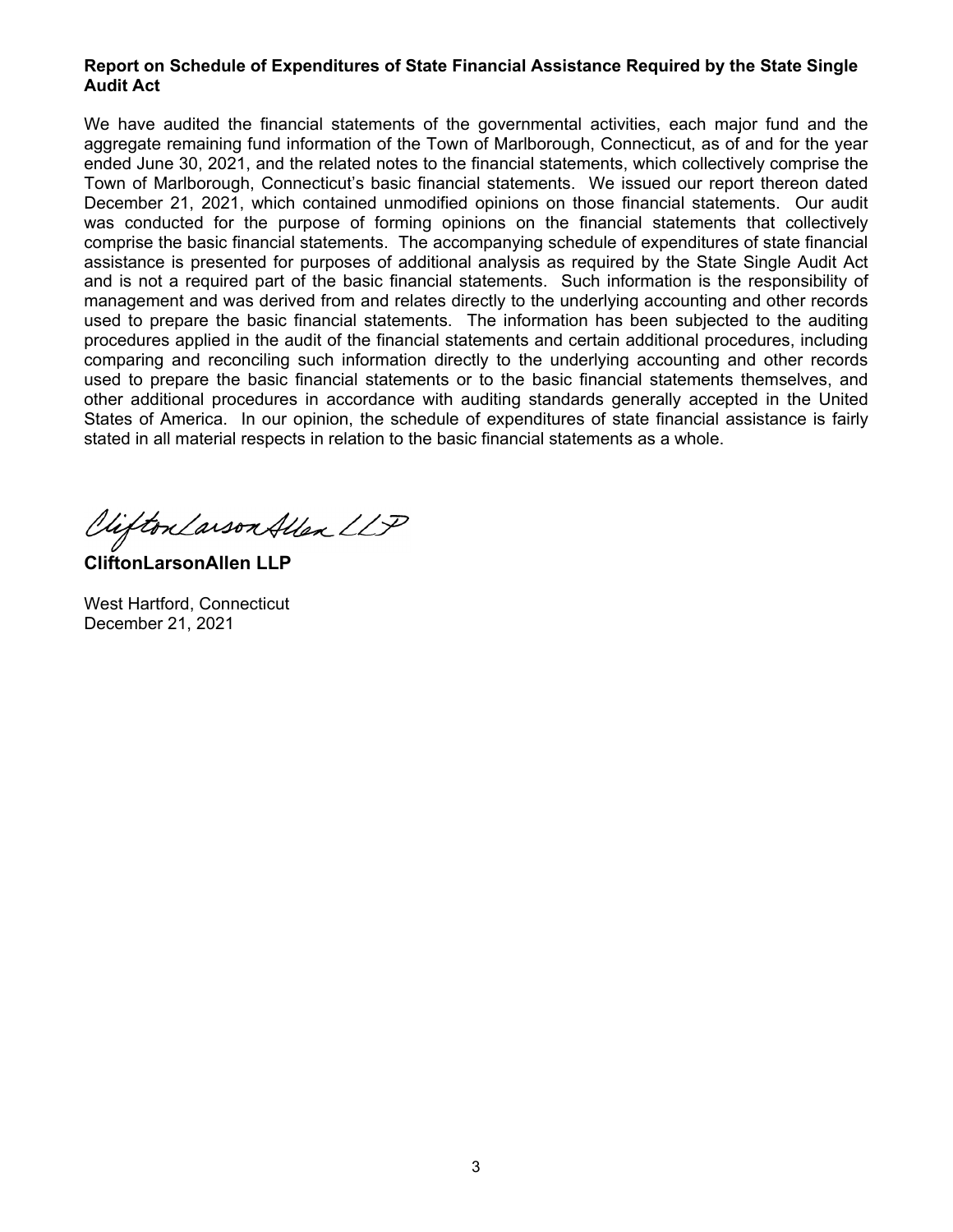#### **Report on Schedule of Expenditures of State Financial Assistance Required by the State Single Audit Act**

We have audited the financial statements of the governmental activities, each major fund and the aggregate remaining fund information of the Town of Marlborough, Connecticut, as of and for the year ended June 30, 2021, and the related notes to the financial statements, which collectively comprise the Town of Marlborough, Connecticut's basic financial statements. We issued our report thereon dated December 21, 2021, which contained unmodified opinions on those financial statements. Our audit was conducted for the purpose of forming opinions on the financial statements that collectively comprise the basic financial statements. The accompanying schedule of expenditures of state financial assistance is presented for purposes of additional analysis as required by the State Single Audit Act and is not a required part of the basic financial statements. Such information is the responsibility of management and was derived from and relates directly to the underlying accounting and other records used to prepare the basic financial statements. The information has been subjected to the auditing procedures applied in the audit of the financial statements and certain additional procedures, including comparing and reconciling such information directly to the underlying accounting and other records used to prepare the basic financial statements or to the basic financial statements themselves, and other additional procedures in accordance with auditing standards generally accepted in the United States of America. In our opinion, the schedule of expenditures of state financial assistance is fairly stated in all material respects in relation to the basic financial statements as a whole.

Viifton Larson Allen LLP

**CliftonLarsonAllen LLP** 

West Hartford, Connecticut December 21, 2021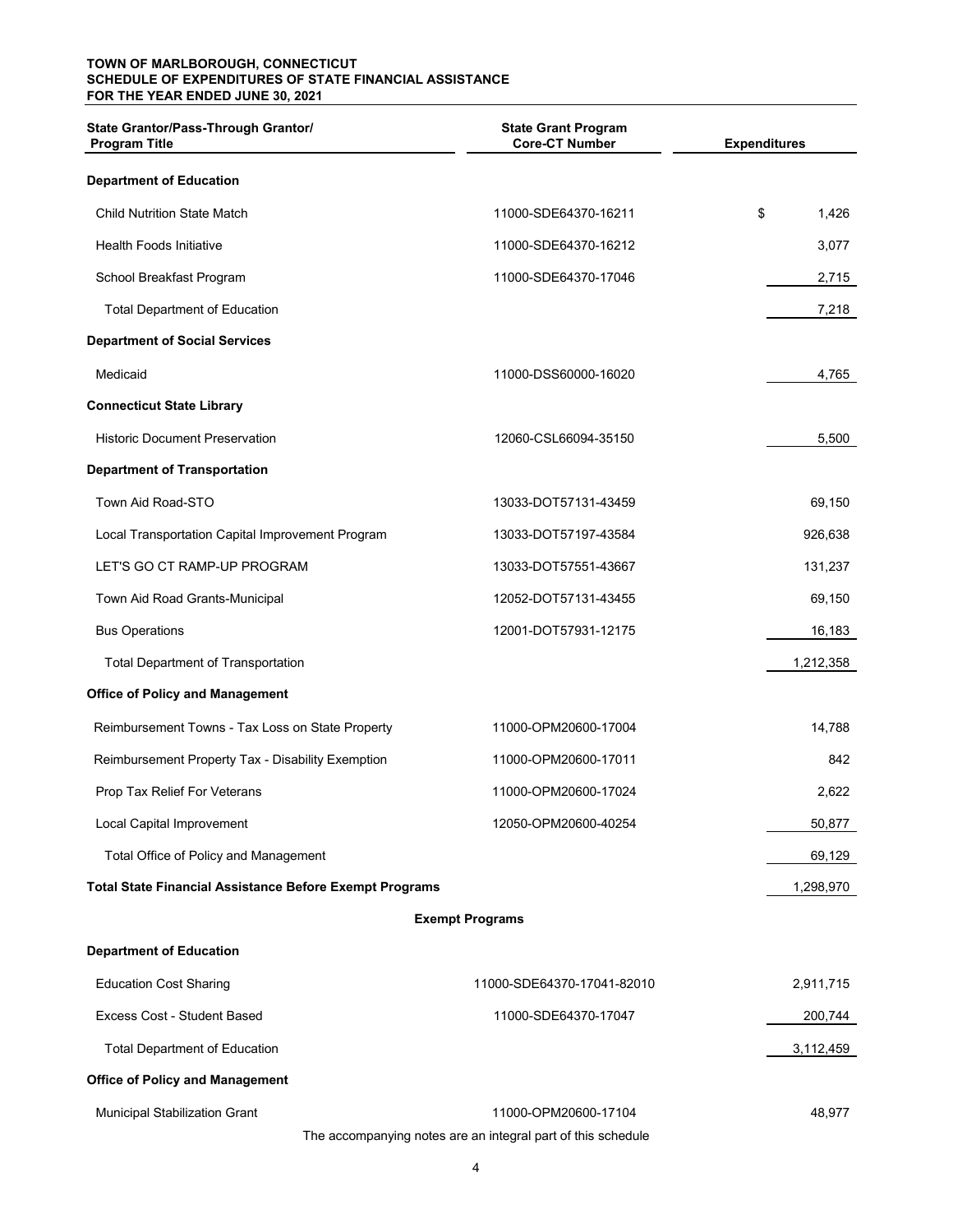#### **TOWN OF MARLBOROUGH, CONNECTICUT SCHEDULE OF EXPENDITURES OF STATE FINANCIAL ASSISTANCE FOR THE YEAR ENDED JUNE 30, 2021**

| State Grantor/Pass-Through Grantor/<br><b>Program Title</b>    | <b>State Grant Program</b><br><b>Core-CT Number</b>          | <b>Expenditures</b> |  |  |
|----------------------------------------------------------------|--------------------------------------------------------------|---------------------|--|--|
| <b>Department of Education</b>                                 |                                                              |                     |  |  |
| <b>Child Nutrition State Match</b>                             | 11000-SDE64370-16211                                         | \$<br>1,426         |  |  |
| <b>Health Foods Initiative</b>                                 | 11000-SDE64370-16212                                         | 3,077               |  |  |
| School Breakfast Program                                       | 11000-SDE64370-17046                                         | 2,715               |  |  |
| <b>Total Department of Education</b>                           |                                                              | 7,218               |  |  |
| <b>Department of Social Services</b>                           |                                                              |                     |  |  |
| Medicaid                                                       | 11000-DSS60000-16020                                         | 4,765               |  |  |
| <b>Connecticut State Library</b>                               |                                                              |                     |  |  |
| <b>Historic Document Preservation</b>                          | 12060-CSL66094-35150                                         | 5,500               |  |  |
| <b>Department of Transportation</b>                            |                                                              |                     |  |  |
| Town Aid Road-STO                                              | 13033-DOT57131-43459                                         | 69,150              |  |  |
| Local Transportation Capital Improvement Program               | 13033-DOT57197-43584                                         | 926,638             |  |  |
| LET'S GO CT RAMP-UP PROGRAM                                    | 13033-DOT57551-43667                                         | 131,237             |  |  |
| Town Aid Road Grants-Municipal                                 | 12052-DOT57131-43455                                         | 69,150              |  |  |
| <b>Bus Operations</b>                                          | 12001-DOT57931-12175                                         | 16,183              |  |  |
| <b>Total Department of Transportation</b>                      |                                                              | 1,212,358           |  |  |
| <b>Office of Policy and Management</b>                         |                                                              |                     |  |  |
| Reimbursement Towns - Tax Loss on State Property               | 11000-OPM20600-17004                                         | 14,788              |  |  |
| Reimbursement Property Tax - Disability Exemption              | 11000-OPM20600-17011                                         | 842                 |  |  |
| Prop Tax Relief For Veterans                                   | 11000-OPM20600-17024                                         | 2,622               |  |  |
| Local Capital Improvement                                      | 12050-OPM20600-40254                                         | 50,877              |  |  |
| Total Office of Policy and Management                          |                                                              | 69,129              |  |  |
| <b>Total State Financial Assistance Before Exempt Programs</b> |                                                              | 1,298,970           |  |  |
|                                                                | <b>Exempt Programs</b>                                       |                     |  |  |
| <b>Department of Education</b>                                 |                                                              |                     |  |  |
| <b>Education Cost Sharing</b>                                  | 11000-SDE64370-17041-82010                                   | 2,911,715           |  |  |
| Excess Cost - Student Based                                    | 11000-SDE64370-17047                                         | 200,744             |  |  |
| <b>Total Department of Education</b>                           |                                                              | 3,112,459           |  |  |
| <b>Office of Policy and Management</b>                         |                                                              |                     |  |  |
| <b>Municipal Stabilization Grant</b>                           | 11000-OPM20600-17104                                         | 48,977              |  |  |
|                                                                | The accompanying notes are an integral part of this schedule |                     |  |  |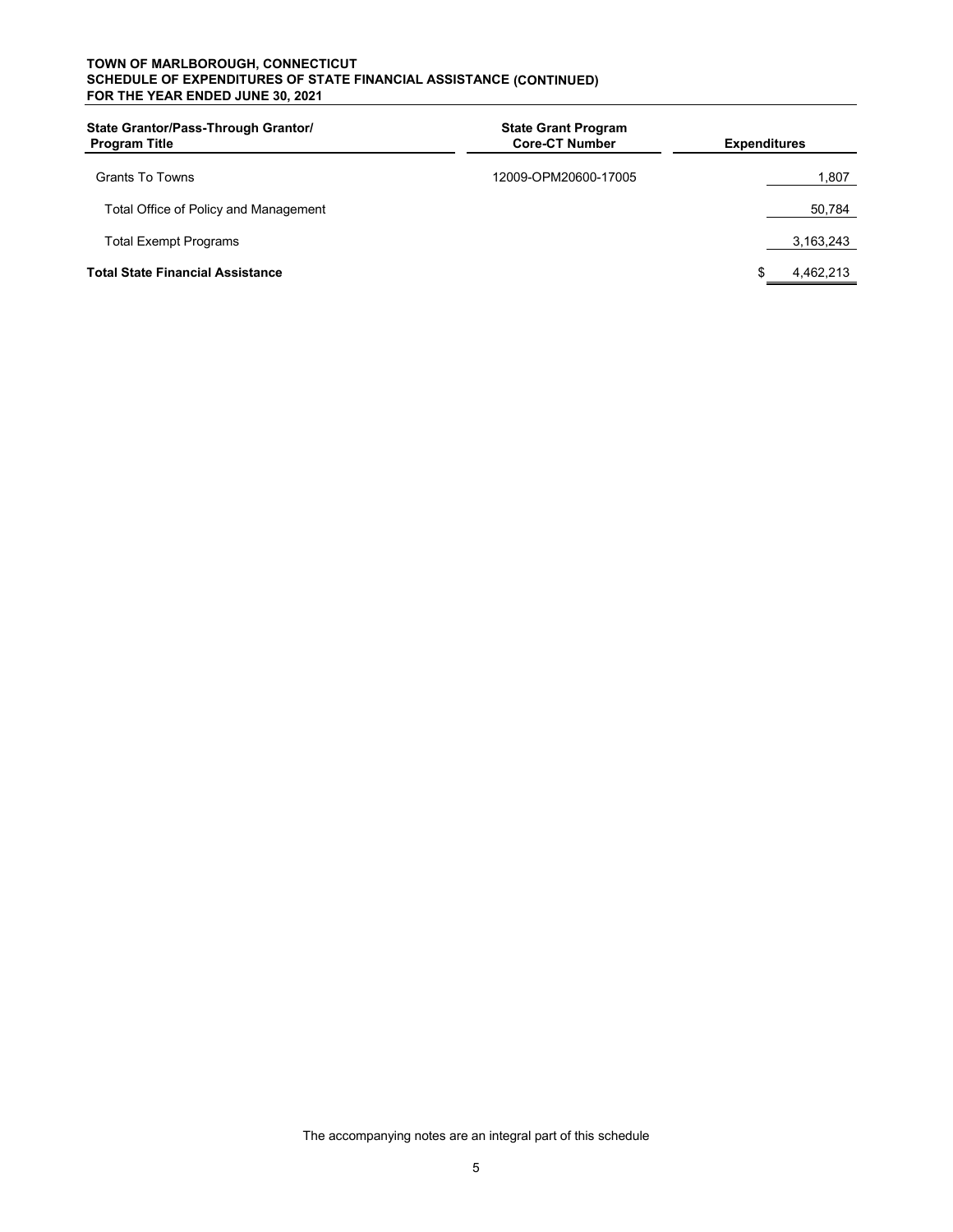#### **SCHEDULE OF EXPENDITURES OF STATE FINANCIAL ASSISTANCE (CONTINUED) TOWN OF MARLBOROUGH, CONNECTICUT FOR THE YEAR ENDED JUNE 30, 2021**

| State Grantor/Pass-Through Grantor/<br><b>Program Title</b> | <b>State Grant Program</b><br><b>Core-CT Number</b> | <b>Expenditures</b> |  |  |  |
|-------------------------------------------------------------|-----------------------------------------------------|---------------------|--|--|--|
| Grants To Towns                                             | 12009-OPM20600-17005                                | 1,807               |  |  |  |
| Total Office of Policy and Management                       |                                                     | 50,784              |  |  |  |
| <b>Total Exempt Programs</b>                                |                                                     | 3,163,243           |  |  |  |
| <b>Total State Financial Assistance</b>                     |                                                     | 4,462,213           |  |  |  |

The accompanying notes are an integral part of this schedule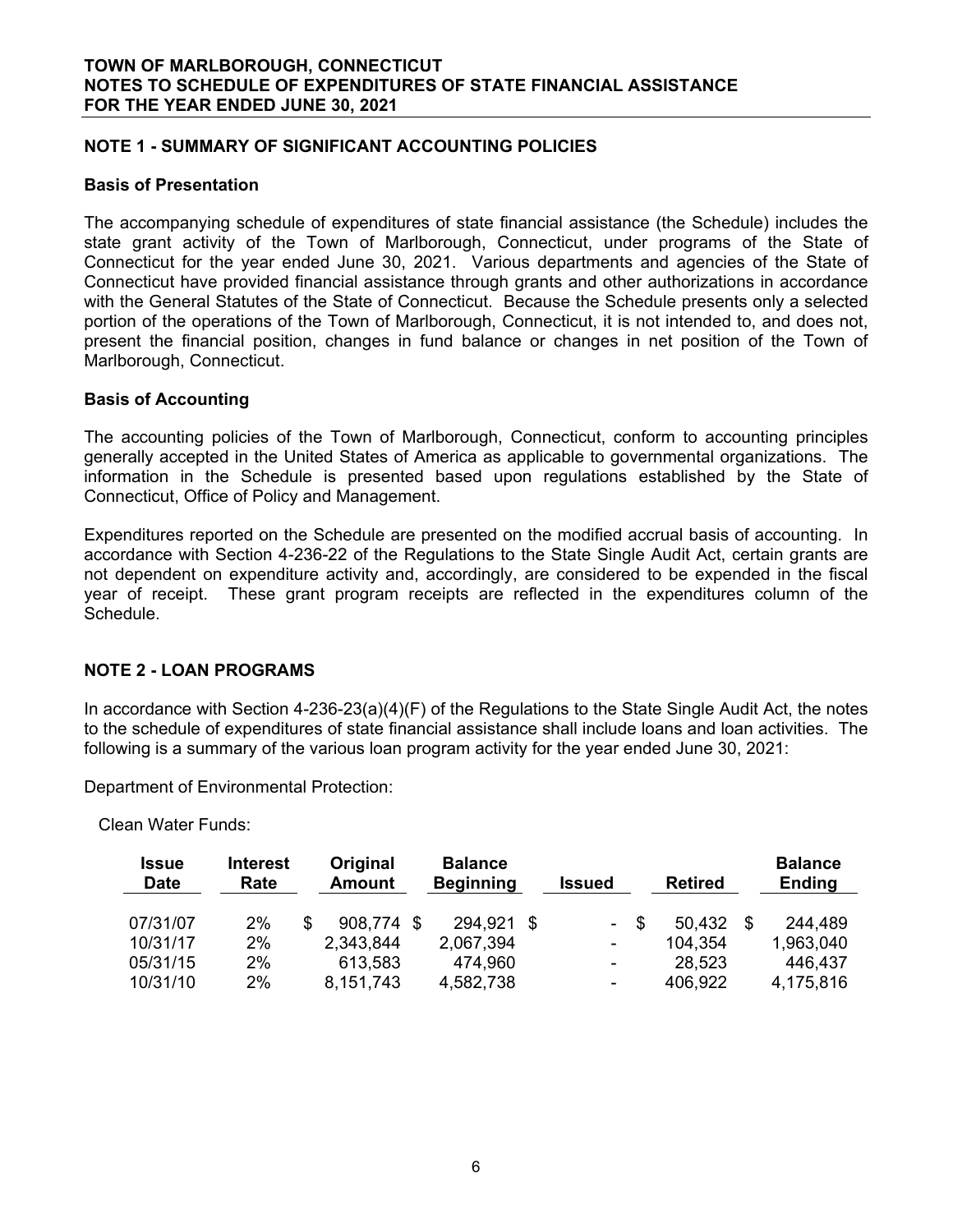#### **NOTE 1 - SUMMARY OF SIGNIFICANT ACCOUNTING POLICIES**

#### **Basis of Presentation**

The accompanying schedule of expenditures of state financial assistance (the Schedule) includes the state grant activity of the Town of Marlborough, Connecticut, under programs of the State of Connecticut for the year ended June 30, 2021. Various departments and agencies of the State of Connecticut have provided financial assistance through grants and other authorizations in accordance with the General Statutes of the State of Connecticut. Because the Schedule presents only a selected portion of the operations of the Town of Marlborough, Connecticut, it is not intended to, and does not, present the financial position, changes in fund balance or changes in net position of the Town of Marlborough, Connecticut.

#### **Basis of Accounting**

The accounting policies of the Town of Marlborough, Connecticut, conform to accounting principles generally accepted in the United States of America as applicable to governmental organizations. The information in the Schedule is presented based upon regulations established by the State of Connecticut, Office of Policy and Management.

Expenditures reported on the Schedule are presented on the modified accrual basis of accounting. In accordance with Section 4-236-22 of the Regulations to the State Single Audit Act, certain grants are not dependent on expenditure activity and, accordingly, are considered to be expended in the fiscal year of receipt. These grant program receipts are reflected in the expenditures column of the Schedule.

### **NOTE 2 - LOAN PROGRAMS**

In accordance with Section 4-236-23(a)(4)(F) of the Regulations to the State Single Audit Act, the notes to the schedule of expenditures of state financial assistance shall include loans and loan activities. The following is a summary of the various loan program activity for the year ended June 30, 2021:

Department of Environmental Protection:

Clean Water Funds:

| <b>Issue</b><br><b>Date</b> | <b>Interest</b><br>Rate | Original<br><b>Amount</b> | <b>Balance</b><br><b>Beginning</b> | <b>Issued</b> | <b>Retired</b> |   | <b>Balance</b><br><b>Ending</b> |
|-----------------------------|-------------------------|---------------------------|------------------------------------|---------------|----------------|---|---------------------------------|
|                             |                         |                           |                                    |               |                |   |                                 |
| 07/31/07                    | 2%                      | 908,774 \$                | 294.921 \$                         | $\sim$        | 50.432         | S | 244,489                         |
| 10/31/17                    | 2%                      | 2,343,844                 | 2,067,394                          | ۰             | 104.354        |   | 1,963,040                       |
| 05/31/15                    | 2%                      | 613,583                   | 474.960                            | ۰             | 28,523         |   | 446,437                         |
| 10/31/10                    | 2%                      | 8,151,743                 | 4,582,738                          | ۰             | 406,922        |   | 4,175,816                       |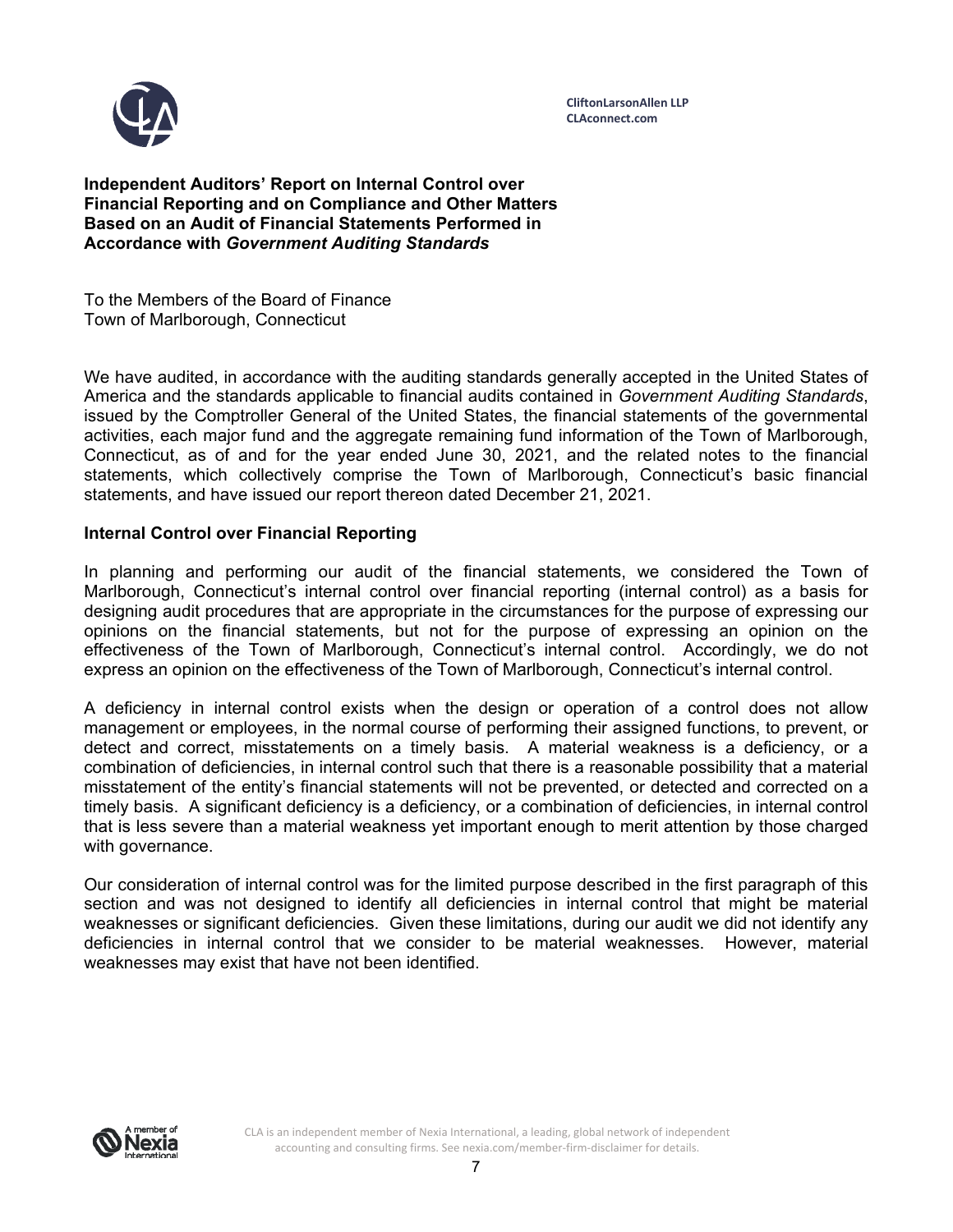

**CliftonLarsonAllen LLP CLAconnect.com**

**Independent Auditors' Report on Internal Control over Financial Reporting and on Compliance and Other Matters Based on an Audit of Financial Statements Performed in Accordance with** *Government Auditing Standards*

To the Members of the Board of Finance Town of Marlborough, Connecticut

We have audited, in accordance with the auditing standards generally accepted in the United States of America and the standards applicable to financial audits contained in *Government Auditing Standards*, issued by the Comptroller General of the United States, the financial statements of the governmental activities, each major fund and the aggregate remaining fund information of the Town of Marlborough, Connecticut, as of and for the year ended June 30, 2021, and the related notes to the financial statements, which collectively comprise the Town of Marlborough, Connecticut's basic financial statements, and have issued our report thereon dated December 21, 2021.

### **Internal Control over Financial Reporting**

In planning and performing our audit of the financial statements, we considered the Town of Marlborough, Connecticut's internal control over financial reporting (internal control) as a basis for designing audit procedures that are appropriate in the circumstances for the purpose of expressing our opinions on the financial statements, but not for the purpose of expressing an opinion on the effectiveness of the Town of Marlborough, Connecticut's internal control. Accordingly, we do not express an opinion on the effectiveness of the Town of Marlborough, Connecticut's internal control.

A deficiency in internal control exists when the design or operation of a control does not allow management or employees, in the normal course of performing their assigned functions, to prevent, or detect and correct, misstatements on a timely basis. A material weakness is a deficiency, or a combination of deficiencies, in internal control such that there is a reasonable possibility that a material misstatement of the entity's financial statements will not be prevented, or detected and corrected on a timely basis. A significant deficiency is a deficiency, or a combination of deficiencies, in internal control that is less severe than a material weakness yet important enough to merit attention by those charged with governance.

Our consideration of internal control was for the limited purpose described in the first paragraph of this section and was not designed to identify all deficiencies in internal control that might be material weaknesses or significant deficiencies. Given these limitations, during our audit we did not identify any deficiencies in internal control that we consider to be material weaknesses. However, material weaknesses may exist that have not been identified.

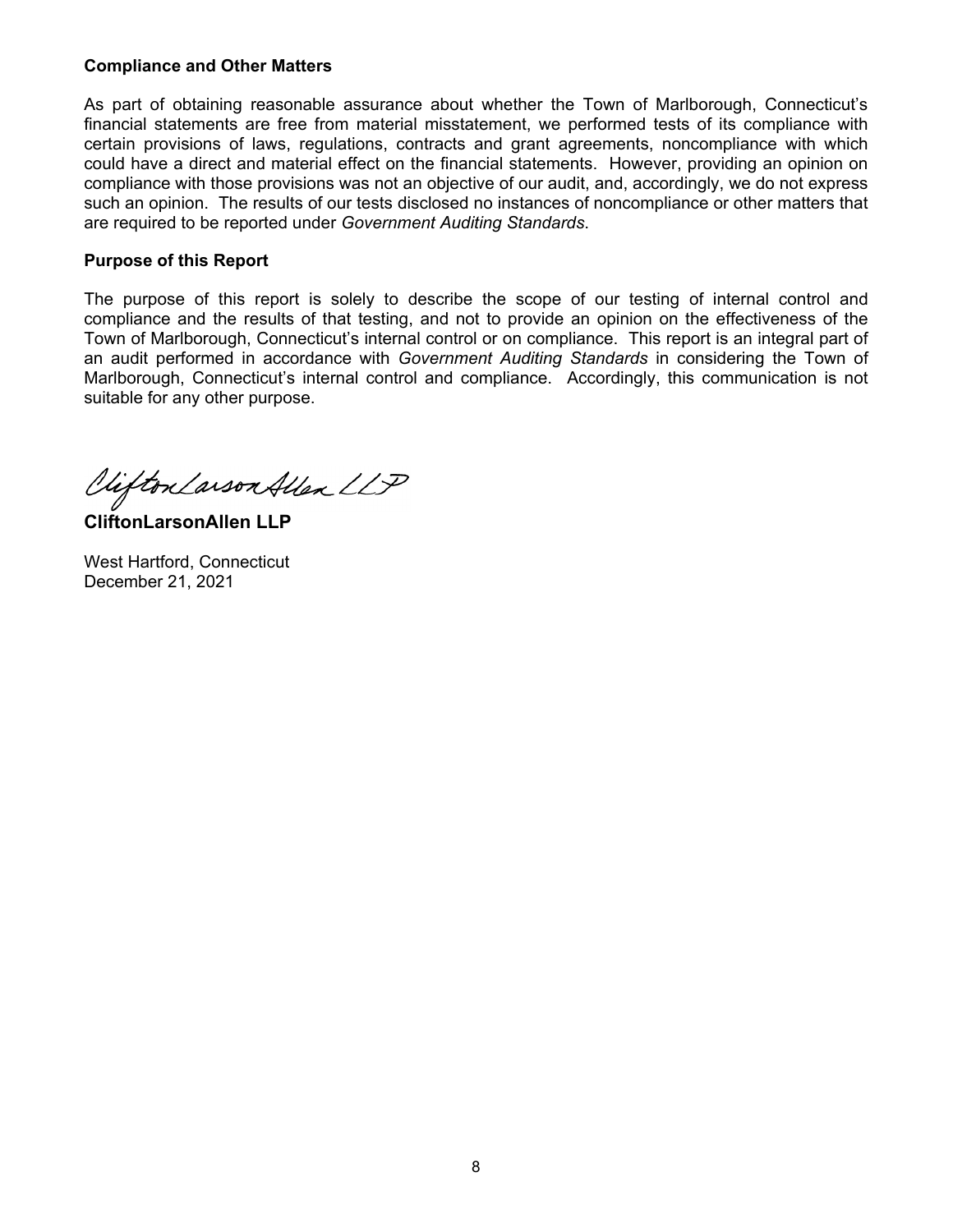#### **Compliance and Other Matters**

As part of obtaining reasonable assurance about whether the Town of Marlborough, Connecticut's financial statements are free from material misstatement, we performed tests of its compliance with certain provisions of laws, regulations, contracts and grant agreements, noncompliance with which could have a direct and material effect on the financial statements. However, providing an opinion on compliance with those provisions was not an objective of our audit, and, accordingly, we do not express such an opinion. The results of our tests disclosed no instances of noncompliance or other matters that are required to be reported under *Government Auditing Standards*.

#### **Purpose of this Report**

The purpose of this report is solely to describe the scope of our testing of internal control and compliance and the results of that testing, and not to provide an opinion on the effectiveness of the Town of Marlborough, Connecticut's internal control or on compliance. This report is an integral part of an audit performed in accordance with *Government Auditing Standards* in considering the Town of Marlborough, Connecticut's internal control and compliance. Accordingly, this communication is not suitable for any other purpose.

Viifton Larson Allen LLP

**CliftonLarsonAllen LLP** 

West Hartford, Connecticut December 21, 2021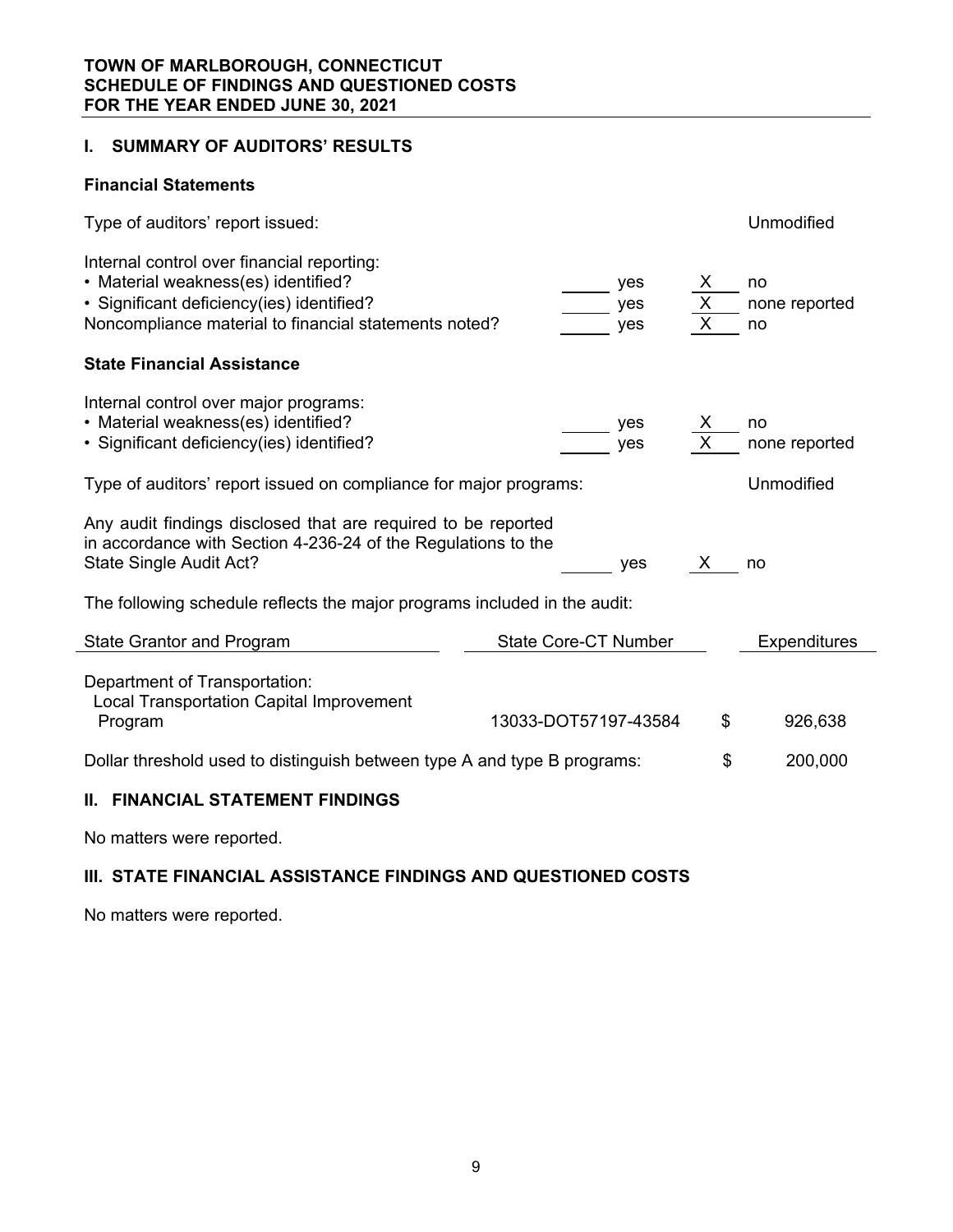### **I. SUMMARY OF AUDITORS' RESULTS**

#### **Financial Statements**

| Type of auditors' report issued:                                                                                                                                                        |                             |                   | Unmodified                |  |  |  |  |  |
|-----------------------------------------------------------------------------------------------------------------------------------------------------------------------------------------|-----------------------------|-------------------|---------------------------|--|--|--|--|--|
| Internal control over financial reporting:<br>• Material weakness(es) identified?<br>· Significant deficiency(ies) identified?<br>Noncompliance material to financial statements noted? | yes<br>yes<br>yes           | X.<br>X.<br>X     | no<br>none reported<br>no |  |  |  |  |  |
| <b>State Financial Assistance</b>                                                                                                                                                       |                             |                   |                           |  |  |  |  |  |
| Internal control over major programs:<br>• Material weakness(es) identified?<br>· Significant deficiency(ies) identified?                                                               | yes<br>yes                  | X<br>$\mathsf{X}$ | no<br>none reported       |  |  |  |  |  |
| Type of auditors' report issued on compliance for major programs:                                                                                                                       |                             |                   | Unmodified                |  |  |  |  |  |
| Any audit findings disclosed that are required to be reported<br>in accordance with Section 4-236-24 of the Regulations to the<br>State Single Audit Act?                               | yes                         | X                 | no                        |  |  |  |  |  |
| The following schedule reflects the major programs included in the audit:                                                                                                               |                             |                   |                           |  |  |  |  |  |
| <b>State Grantor and Program</b>                                                                                                                                                        | <b>State Core-CT Number</b> |                   | <b>Expenditures</b>       |  |  |  |  |  |
| Department of Transportation:<br><b>Local Transportation Capital Improvement</b><br>Program                                                                                             | 13033-DOT57197-43584        | \$                | 926,638                   |  |  |  |  |  |
| Dollar threshold used to distinguish between type A and type B programs:                                                                                                                |                             | \$                | 200,000                   |  |  |  |  |  |

## **II. FINANCIAL STATEMENT FINDINGS**

No matters were reported.

# **III. STATE FINANCIAL ASSISTANCE FINDINGS AND QUESTIONED COSTS**

No matters were reported.